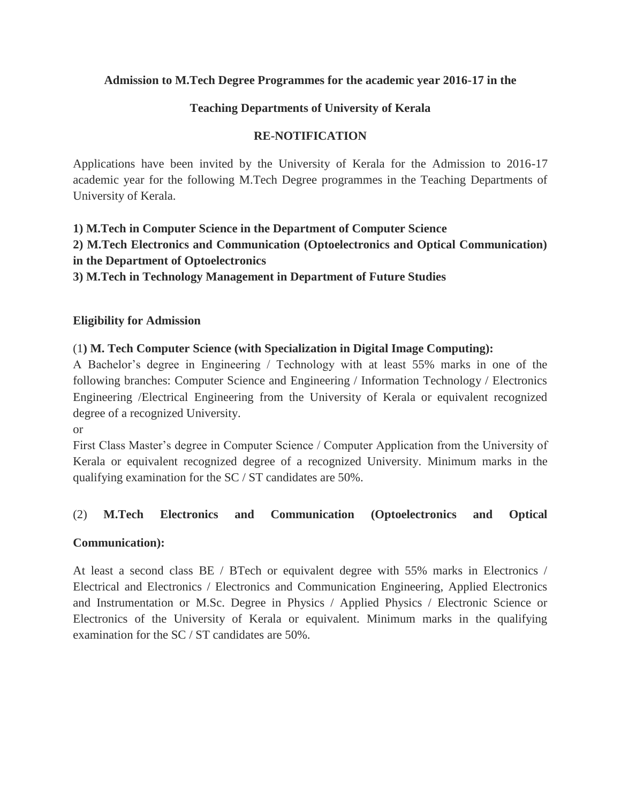### **Admission to M.Tech Degree Programmes for the academic year 2016-17 in the**

## **Teaching Departments of University of Kerala**

## **RE-NOTIFICATION**

Applications have been invited by the University of Kerala for the Admission to 2016-17 academic year for the following M.Tech Degree programmes in the Teaching Departments of University of Kerala.

## **1) M.Tech in Computer Science in the Department of Computer Science**

## **2) M.Tech Electronics and Communication (Optoelectronics and Optical Communication) in the Department of Optoelectronics**

## **3) M.Tech in Technology Management in Department of Future Studies**

## **Eligibility for Admission**

## (1**) M. Tech Computer Science (with Specialization in Digital Image Computing):**

A Bachelor's degree in Engineering / Technology with at least 55% marks in one of the following branches: Computer Science and Engineering / Information Technology / Electronics Engineering /Electrical Engineering from the University of Kerala or equivalent recognized degree of a recognized University.

#### or

First Class Master's degree in Computer Science / Computer Application from the University of Kerala or equivalent recognized degree of a recognized University. Minimum marks in the qualifying examination for the SC / ST candidates are 50%.

### (2) **M.Tech Electronics and Communication (Optoelectronics and Optical**

### **Communication):**

At least a second class BE / BTech or equivalent degree with 55% marks in Electronics / Electrical and Electronics / Electronics and Communication Engineering, Applied Electronics and Instrumentation or M.Sc. Degree in Physics / Applied Physics / Electronic Science or Electronics of the University of Kerala or equivalent. Minimum marks in the qualifying examination for the SC / ST candidates are 50%.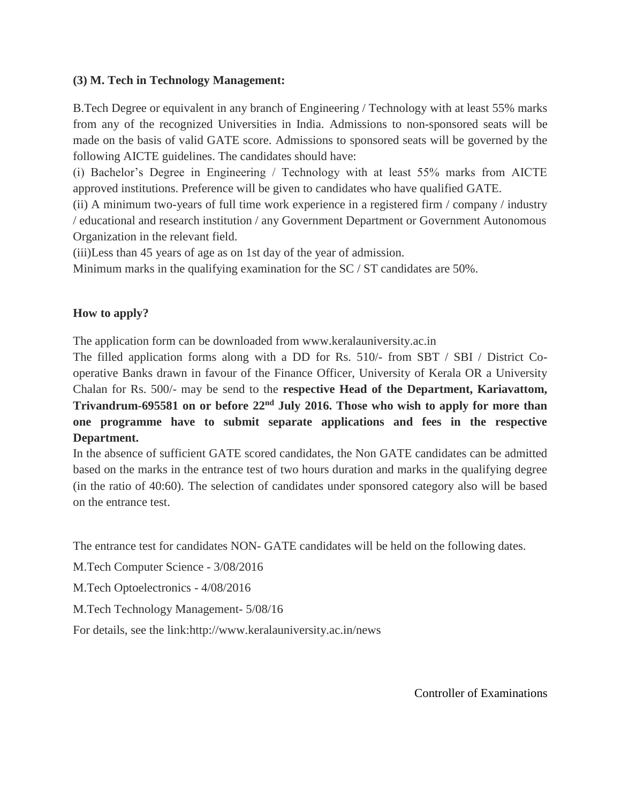#### **(3) M. Tech in Technology Management:**

B.Tech Degree or equivalent in any branch of Engineering / Technology with at least 55% marks from any of the recognized Universities in India. Admissions to non-sponsored seats will be made on the basis of valid GATE score. Admissions to sponsored seats will be governed by the following AICTE guidelines. The candidates should have:

(i) Bachelor's Degree in Engineering / Technology with at least 55% marks from AICTE approved institutions. Preference will be given to candidates who have qualified GATE.

(ii) A minimum two-years of full time work experience in a registered firm / company / industry / educational and research institution / any Government Department or Government Autonomous Organization in the relevant field.

(iii)Less than 45 years of age as on 1st day of the year of admission.

Minimum marks in the qualifying examination for the SC / ST candidates are 50%.

### **How to apply?**

The application form can be downloaded from www.keralauniversity.ac.in

The filled application forms along with a DD for Rs. 510/- from SBT / SBI / District Cooperative Banks drawn in favour of the Finance Officer, University of Kerala OR a University Chalan for Rs. 500/- may be send to the **respective Head of the Department, Kariavattom,**  Trivandrum-695581 on or before 22<sup>nd</sup> July 2016. Those who wish to apply for more than **one programme have to submit separate applications and fees in the respective Department.**

In the absence of sufficient GATE scored candidates, the Non GATE candidates can be admitted based on the marks in the entrance test of two hours duration and marks in the qualifying degree (in the ratio of 40:60). The selection of candidates under sponsored category also will be based on the entrance test.

The entrance test for candidates NON- GATE candidates will be held on the following dates.

M.Tech Computer Science - 3/08/2016

M.Tech Optoelectronics - 4/08/2016

M.Tech Technology Management- 5/08/16

For details, see the link:http://www.keralauniversity.ac.in/news

Controller of Examinations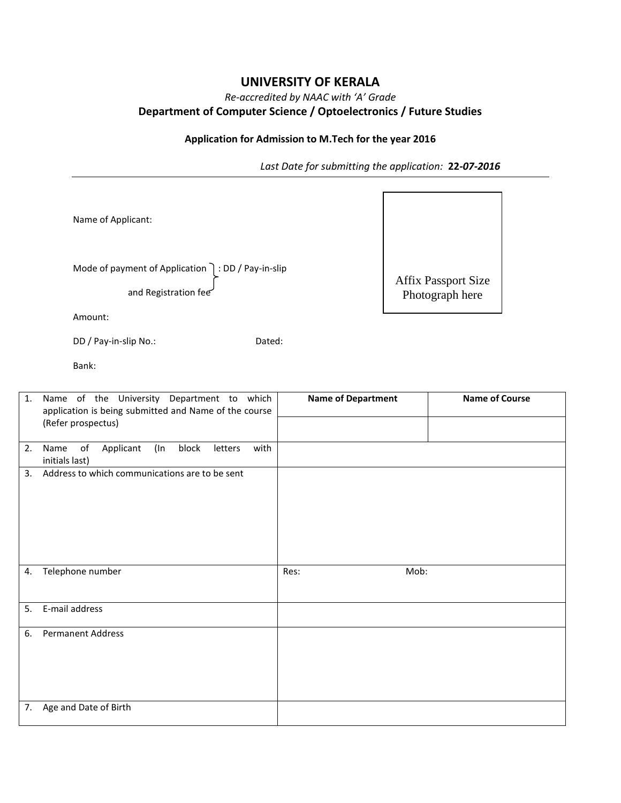### **UNIVERSITY OF KERALA**

#### *Re-accredited by NAAC with 'A' Grade* **Department of Computer Science / Optoelectronics / Future Studies**

#### **Application for Admission to M.Tech for the year 2016**

*Last Date for submitting the application:* **22***-07-2016*

| Name of Applicant:                                                                                       |                           |                                               |
|----------------------------------------------------------------------------------------------------------|---------------------------|-----------------------------------------------|
| Mode of payment of Application $\bigcap$ : DD / Pay-in-slip<br>and Registration fee                      |                           | <b>Affix Passport Size</b><br>Photograph here |
| Amount:                                                                                                  |                           |                                               |
| DD / Pay-in-slip No.:<br>Dated:                                                                          |                           |                                               |
| Bank:                                                                                                    |                           |                                               |
| the University Department to<br>of<br>which<br>me<br>plication is being submitted and Name of the course | <b>Name of Department</b> | Name of                                       |

| 1. | Name of the University Department to which<br>application is being submitted and Name of the course<br>(Refer prospectus) | <b>Name of Department</b> | <b>Name of Course</b> |
|----|---------------------------------------------------------------------------------------------------------------------------|---------------------------|-----------------------|
| 2. | Applicant<br>block<br>with<br>of<br>letters<br>Name<br>(In<br>initials last)                                              |                           |                       |
| 3. | Address to which communications are to be sent                                                                            |                           |                       |
| 4. | Telephone number                                                                                                          | Mob:<br>Res:              |                       |
| 5. | E-mail address                                                                                                            |                           |                       |
| 6. | <b>Permanent Address</b>                                                                                                  |                           |                       |
|    | 7. Age and Date of Birth                                                                                                  |                           |                       |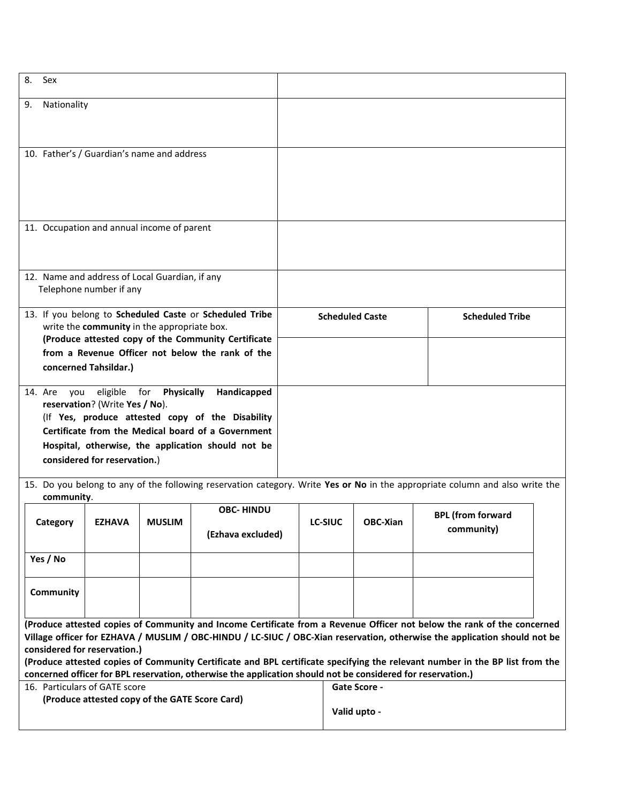| 8.<br>Sex                                                                                                                                                                                                                                                                                        |                                             |               |                                                                                                                |  |                |                        |                                        |
|--------------------------------------------------------------------------------------------------------------------------------------------------------------------------------------------------------------------------------------------------------------------------------------------------|---------------------------------------------|---------------|----------------------------------------------------------------------------------------------------------------|--|----------------|------------------------|----------------------------------------|
| Nationality<br>9.                                                                                                                                                                                                                                                                                |                                             |               |                                                                                                                |  |                |                        |                                        |
| 10. Father's / Guardian's name and address                                                                                                                                                                                                                                                       |                                             |               |                                                                                                                |  |                |                        |                                        |
|                                                                                                                                                                                                                                                                                                  |                                             |               |                                                                                                                |  |                |                        |                                        |
| 11. Occupation and annual income of parent                                                                                                                                                                                                                                                       |                                             |               |                                                                                                                |  |                |                        |                                        |
|                                                                                                                                                                                                                                                                                                  |                                             |               |                                                                                                                |  |                |                        |                                        |
| 12. Name and address of Local Guardian, if any                                                                                                                                                                                                                                                   | Telephone number if any                     |               |                                                                                                                |  |                |                        |                                        |
|                                                                                                                                                                                                                                                                                                  | write the community in the appropriate box. |               | 13. If you belong to Scheduled Caste or Scheduled Tribe<br>(Produce attested copy of the Community Certificate |  |                | <b>Scheduled Caste</b> | <b>Scheduled Tribe</b>                 |
|                                                                                                                                                                                                                                                                                                  | concerned Tahsildar.)                       |               | from a Revenue Officer not below the rank of the                                                               |  |                |                        |                                        |
| eligible<br>for<br>Physically<br>Handicapped<br>14. Are<br>you<br>reservation? (Write Yes / No).<br>(If Yes, produce attested copy of the Disability<br>Certificate from the Medical board of a Government<br>Hospital, otherwise, the application should not be<br>considered for reservation.) |                                             |               |                                                                                                                |  |                |                        |                                        |
| 15. Do you belong to any of the following reservation category. Write Yes or No in the appropriate column and also write the<br>community.                                                                                                                                                       |                                             |               |                                                                                                                |  |                |                        |                                        |
| Category                                                                                                                                                                                                                                                                                         | <b>EZHAVA</b>                               | <b>MUSLIM</b> | <b>OBC-HINDU</b><br>(Ezhava excluded)                                                                          |  | <b>LC-SIUC</b> | <b>OBC-Xian</b>        | <b>BPL</b> (from forward<br>community) |
| Yes / No                                                                                                                                                                                                                                                                                         |                                             |               |                                                                                                                |  |                |                        |                                        |
| Community                                                                                                                                                                                                                                                                                        |                                             |               |                                                                                                                |  |                |                        |                                        |
| (Produce attested copies of Community and Income Certificate from a Revenue Officer not below the rank of the concerned<br>Village officer for EZHAVA / MUSLIM / OBC-HINDU / LC-SIUC / OBC-Xian reservation, otherwise the application should not be<br>considered for reservation.)             |                                             |               |                                                                                                                |  |                |                        |                                        |
| (Produce attested copies of Community Certificate and BPL certificate specifying the relevant number in the BP list from the<br>concerned officer for BPL reservation, otherwise the application should not be considered for reservation.)                                                      |                                             |               |                                                                                                                |  |                |                        |                                        |
| 16. Particulars of GATE score<br>(Produce attested copy of the GATE Score Card)                                                                                                                                                                                                                  |                                             |               |                                                                                                                |  |                | Gate Score -           |                                        |
|                                                                                                                                                                                                                                                                                                  |                                             |               |                                                                                                                |  | Valid upto -   |                        |                                        |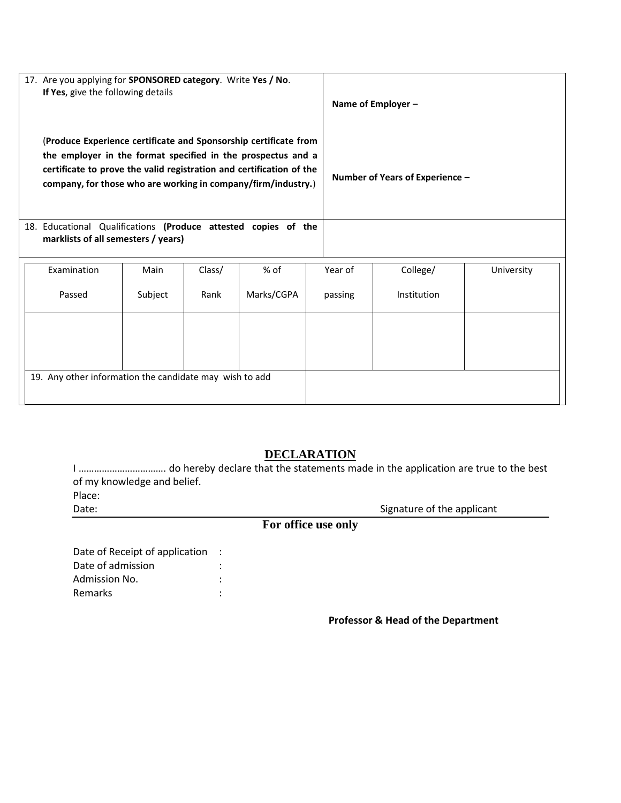| 17. Are you applying for SPONSORED category. Write Yes / No.<br>If Yes, give the following details                                                                                                                                                                        |         |        |            |         | Name of Employer $-$            |            |
|---------------------------------------------------------------------------------------------------------------------------------------------------------------------------------------------------------------------------------------------------------------------------|---------|--------|------------|---------|---------------------------------|------------|
| (Produce Experience certificate and Sponsorship certificate from<br>the employer in the format specified in the prospectus and a<br>certificate to prove the valid registration and certification of the<br>company, for those who are working in company/firm/industry.) |         |        |            |         | Number of Years of Experience - |            |
| 18. Educational Qualifications (Produce attested copies of the<br>marklists of all semesters / years)                                                                                                                                                                     |         |        |            |         |                                 |            |
| Examination                                                                                                                                                                                                                                                               | Main    | Class/ | $%$ of     | Year of | College/                        | University |
| Passed                                                                                                                                                                                                                                                                    | Subject | Rank   | Marks/CGPA | passing | Institution                     |            |
|                                                                                                                                                                                                                                                                           |         |        |            |         |                                 |            |
|                                                                                                                                                                                                                                                                           |         |        |            |         |                                 |            |
| 19. Any other information the candidate may wish to add                                                                                                                                                                                                                   |         |        |            |         |                                 |            |

## **DECLARATION**

I ……………………………. do hereby declare that the statements made in the application are true to the best of my knowledge and belief. Place:

Date: Case of the applicant control of the applicant control of the applicant control of the applicant

**For office use only**

Date of Receipt of application : Date of admission : Admission No.  $\qquad \qquad :$ Remarks in the set of the set of the set of the set of the set of the set of the set of the set of the set of the set of the set of the set of the set of the set of the set of the set of the set of the set of the set of th

**Professor & Head of the Department**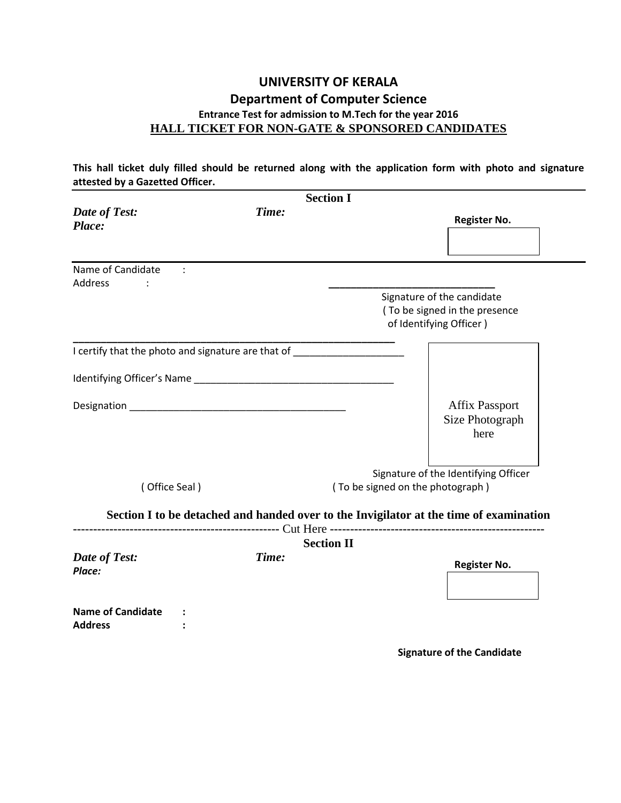## **UNIVERSITY OF KERALA Department of Computer Science Entrance Test for admission to M.Tech for the year 2016 HALL TICKET FOR NON-GATE & SPONSORED CANDIDATES**

**This hall ticket duly filled should be returned along with the application form with photo and signature attested by a Gazetted Officer.**

|                          | <b>Section I</b>                                   |                                                                                        |
|--------------------------|----------------------------------------------------|----------------------------------------------------------------------------------------|
| Date of Test:<br>Place:  | Time:                                              | <b>Register No.</b>                                                                    |
|                          |                                                    |                                                                                        |
| Name of Candidate        |                                                    |                                                                                        |
| Address                  |                                                    |                                                                                        |
|                          |                                                    | Signature of the candidate                                                             |
|                          |                                                    | (To be signed in the presence<br>of Identifying Officer)                               |
|                          |                                                    |                                                                                        |
|                          | I certify that the photo and signature are that of |                                                                                        |
|                          |                                                    |                                                                                        |
|                          |                                                    | <b>Affix Passport</b><br>Size Photograph<br>here                                       |
|                          |                                                    | Signature of the Identifying Officer                                                   |
| (Office Seal)            |                                                    | (To be signed on the photograph)                                                       |
|                          |                                                    | Section I to be detached and handed over to the Invigilator at the time of examination |
|                          |                                                    |                                                                                        |
|                          | <b>Section II</b><br>Time:                         |                                                                                        |
| Date of Test:<br>Place:  |                                                    | <b>Register No.</b>                                                                    |
|                          |                                                    |                                                                                        |
| <b>Name of Candidate</b> |                                                    |                                                                                        |
| <b>Address</b>           |                                                    |                                                                                        |
|                          |                                                    |                                                                                        |
|                          |                                                    | <b>Signature of the Candidate</b>                                                      |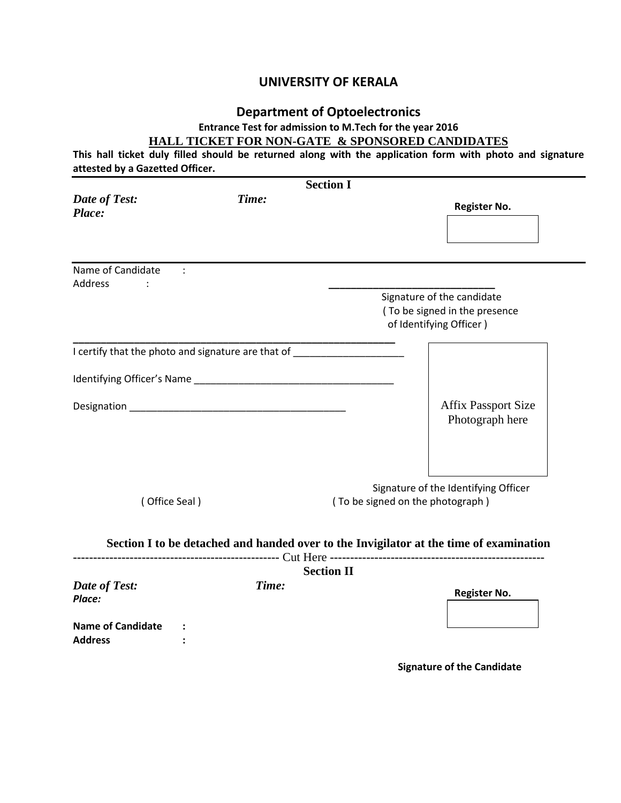### **UNIVERSITY OF KERALA**

## **Department of Optoelectronics**

## **Entrance Test for admission to M.Tech for the year 2016**

# **HALL TICKET FOR NON-GATE & SPONSORED CANDIDATES**

**This hall ticket duly filled should be returned along with the application form with photo and signature attested by a Gazetted Officer.**

|                                                | <b>Section I</b>                                                                       |                                                                                        |                                               |
|------------------------------------------------|----------------------------------------------------------------------------------------|----------------------------------------------------------------------------------------|-----------------------------------------------|
| Date of Test:<br>Place:                        | Time:                                                                                  |                                                                                        | <b>Register No.</b>                           |
|                                                |                                                                                        |                                                                                        |                                               |
| Name of Candidate<br>$\ddot{\cdot}$<br>Address |                                                                                        |                                                                                        |                                               |
|                                                |                                                                                        | Signature of the candidate<br>(To be signed in the presence<br>of Identifying Officer) |                                               |
|                                                | I certify that the photo and signature are that of                                     |                                                                                        |                                               |
|                                                |                                                                                        |                                                                                        |                                               |
|                                                |                                                                                        |                                                                                        | <b>Affix Passport Size</b><br>Photograph here |
| (Office Seal)                                  |                                                                                        | Signature of the Identifying Officer<br>(To be signed on the photograph)               |                                               |
|                                                | Section I to be detached and handed over to the Invigilator at the time of examination |                                                                                        |                                               |
| Date of Test:                                  | <b>Section II</b><br>Time:                                                             |                                                                                        |                                               |
| Place:                                         |                                                                                        |                                                                                        | <b>Register No.</b>                           |
| <b>Name of Candidate</b><br><b>Address</b>     |                                                                                        |                                                                                        |                                               |
|                                                |                                                                                        | <b>Signature of the Candidate</b>                                                      |                                               |